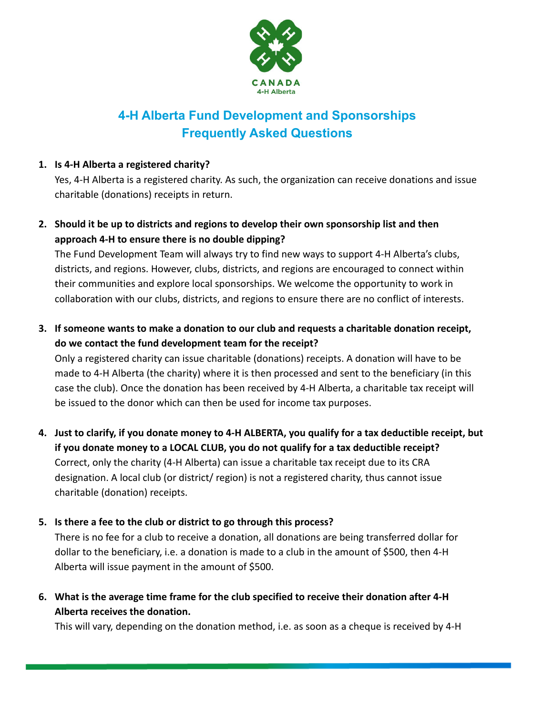

# **4-H Alberta Fund Development and Sponsorships Frequently Asked Questions**

# **1. Is 4-H Alberta a registered charity?**

Yes, 4-H Alberta is a registered charity. As such, the organization can receive donations and issue charitable (donations) receipts in return.

**2. Should it be up to districts and regions to develop their own sponsorship list and then approach 4-H to ensure there is no double dipping?**

The Fund Development Team will always try to find new ways to support 4-H Alberta's clubs, districts, and regions. However, clubs, districts, and regions are encouraged to connect within their communities and explore local sponsorships. We welcome the opportunity to work in collaboration with our clubs, districts, and regions to ensure there are no conflict of interests.

**3. If someone wants to make a donation to our club and requests a charitable donation receipt, do we contact the fund development team for the receipt?**

Only a registered charity can issue charitable (donations) receipts. A donation will have to be made to 4-H Alberta (the charity) where it is then processed and sent to the beneficiary (in this case the club). Once the donation has been received by 4-H Alberta, a charitable tax receipt will be issued to the donor which can then be used for income tax purposes.

- **4. Just to clarify, if you donate money to 4-H ALBERTA, you qualify for a tax deductible receipt, but if you donate money to a LOCAL CLUB, you do not qualify for a tax deductible receipt?** Correct, only the charity (4-H Alberta) can issue a charitable tax receipt due to its CRA designation. A local club (or district/ region) is not a registered charity, thus cannot issue charitable (donation) receipts.
- **5. Is there a fee to the club or district to go through this process?**

There is no fee for a club to receive a donation, all donations are being transferred dollar for dollar to the beneficiary, i.e. a donation is made to a club in the amount of \$500, then 4-H Alberta will issue payment in the amount of \$500.

**6. What is the average time frame for the club specified to receive their donation after 4-H Alberta receives the donation.**

This will vary, depending on the donation method, i.e. as soon as a cheque is received by 4-H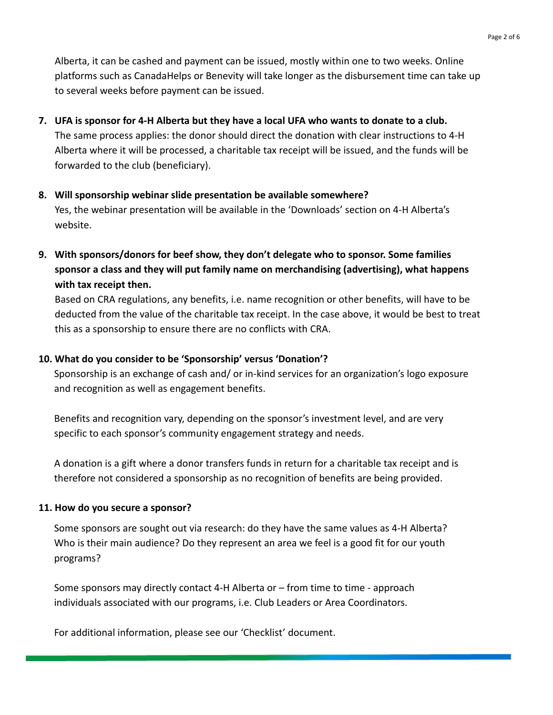Alberta, it can be cashed and payment can be issued, mostly within one to two weeks. Online platforms such as CanadaHelps or Benevity will take longer as the disbursement time can take up to several weeks before payment can be issued.

- **7. UFA is sponsor for 4-H Alberta but they have a local UFA who wants to donate to a club.** The same process applies: the donor should direct the donation with clear instructions to 4-H Alberta where it will be processed, a charitable tax receipt will be issued, and the funds will be forwarded to the club (beneficiary).
- **8. Will sponsorship webinar slide presentation be available somewhere?** Yes, the webinar presentation will be available in the 'Downloads' section on 4-H Alberta's website.
- **9. With sponsors/donors for beef show, they don't delegate who to sponsor. Some families sponsor a class and they will put family name on merchandising (advertising), what happens with tax receipt then.**

Based on CRA regulations, any benefits, i.e. name recognition or other benefits, will have to be deducted from the value of the charitable tax receipt. In the case above, it would be best to treat this as a sponsorship to ensure there are no conflicts with CRA.

# **10. What do you consider to be 'Sponsorship' versus 'Donation'?**

Sponsorship is an exchange of cash and/ or in-kind services for an organization's logo exposure and recognition as well as engagement benefits.

Benefits and recognition vary, depending on the sponsor's investment level, and are very specific to each sponsor's community engagement strategy and needs.

A donation is a gift where a donor transfers funds in return for a charitable tax receipt and is therefore not considered a sponsorship as no recognition of benefits are being provided.

# **11. How do you secure a sponsor?**

Some sponsors are sought out via research: do they have the same values as 4-H Alberta? Who is their main audience? Do they represent an area we feel is a good fit for our youth programs?

Some sponsors may directly contact 4-H Alberta or – from time to time - approach individuals associated with our programs, i.e. Club Leaders or Area Coordinators.

For additional information, please see our 'Checklist' document.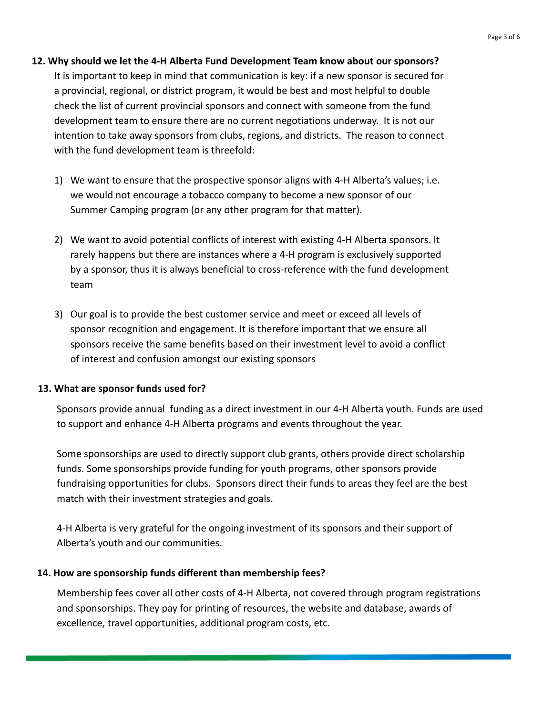#### **12. Why should we let the 4-H Alberta Fund Development Team know about our sponsors?**

It is important to keep in mind that communication is key: if a new sponsor is secured for a provincial, regional, or district program, it would be best and most helpful to double check the list of current provincial sponsors and connect with someone from the fund development team to ensure there are no current negotiations underway. It is not our intention to take away sponsors from clubs, regions, and districts. The reason to connect with the fund development team is threefold:

- 1) We want to ensure that the prospective sponsor aligns with 4-H Alberta's values; i.e. we would not encourage a tobacco company to become a new sponsor of our Summer Camping program (or any other program for that matter).
- 2) We want to avoid potential conflicts of interest with existing 4-H Alberta sponsors. It rarely happens but there are instances where a 4-H program is exclusively supported by a sponsor, thus it is always beneficial to cross-reference with the fund development team
- 3) Our goal is to provide the best customer service and meet or exceed all levels of sponsor recognition and engagement. It is therefore important that we ensure all sponsors receive the same benefits based on their investment level to avoid a conflict of interest and confusion amongst our existing sponsors

## **13. What are sponsor funds used for?**

Sponsors provide annual funding as a direct investment in our 4-H Alberta youth. Funds are used to support and enhance 4-H Alberta programs and events throughout the year.

Some sponsorships are used to directly support club grants, others provide direct scholarship funds. Some sponsorships provide funding for youth programs, other sponsors provide fundraising opportunities for clubs. Sponsors direct their funds to areas they feel are the best match with their investment strategies and goals.

4-H Alberta is very grateful for the ongoing investment of its sponsors and their support of Alberta's youth and our communities.

## **14. How are sponsorship funds different than membership fees?**

Membership fees cover all other costs of 4-H Alberta, not covered through program registrations and sponsorships. They pay for printing of resources, the website and database, awards of excellence, travel opportunities, additional program costs, etc.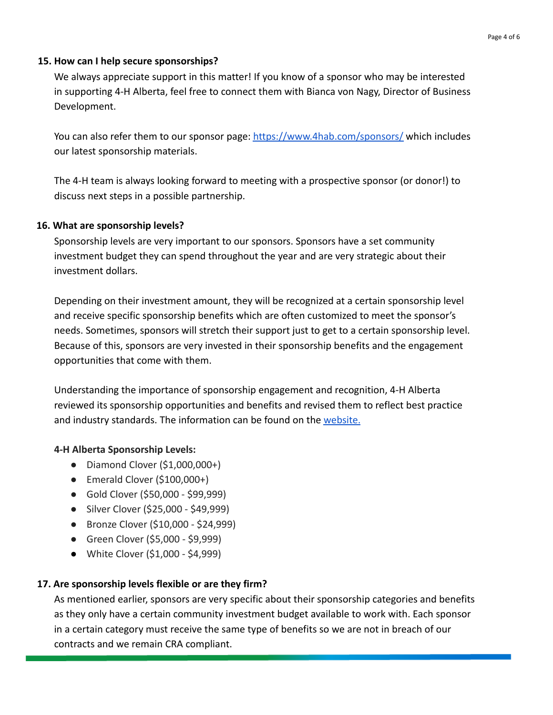#### **15. How can I help secure sponsorships?**

We always appreciate support in this matter! If you know of a sponsor who may be interested in supporting 4-H Alberta, feel free to connect them with Bianca von Nagy, Director of Business Development.

You can also refer them to our sponsor page: <https://www.4hab.com/sponsors/> which includes our latest sponsorship materials.

The 4-H team is always looking forward to meeting with a prospective sponsor (or donor!) to discuss next steps in a possible partnership.

#### **16. What are sponsorship levels?**

Sponsorship levels are very important to our sponsors. Sponsors have a set community investment budget they can spend throughout the year and are very strategic about their investment dollars.

Depending on their investment amount, they will be recognized at a certain sponsorship level and receive specific sponsorship benefits which are often customized to meet the sponsor's needs. Sometimes, sponsors will stretch their support just to get to a certain sponsorship level. Because of this, sponsors are very invested in their sponsorship benefits and the engagement opportunities that come with them.

Understanding the importance of sponsorship engagement and recognition, 4-H Alberta reviewed its sponsorship opportunities and benefits and revised them to reflect best practice and industry standards. The information can be found on the [website.](https://www.4hab.com/sponsors/)

## **4-H Alberta Sponsorship Levels:**

- $\bullet$  Diamond Clover (\$1,000,000+)
- $\bullet$  Emerald Clover (\$100,000+)
- Gold Clover (\$50,000 \$99,999)
- Silver Clover (\$25,000 \$49,999)
- Bronze Clover (\$10,000 \$24,999)
- Green Clover (\$5,000 \$9,999)
- **●** White Clover (\$1,000 \$4,999)

## **17. Are sponsorship levels flexible or are they firm?**

As mentioned earlier, sponsors are very specific about their sponsorship categories and benefits as they only have a certain community investment budget available to work with. Each sponsor in a certain category must receive the same type of benefits so we are not in breach of our contracts and we remain CRA compliant.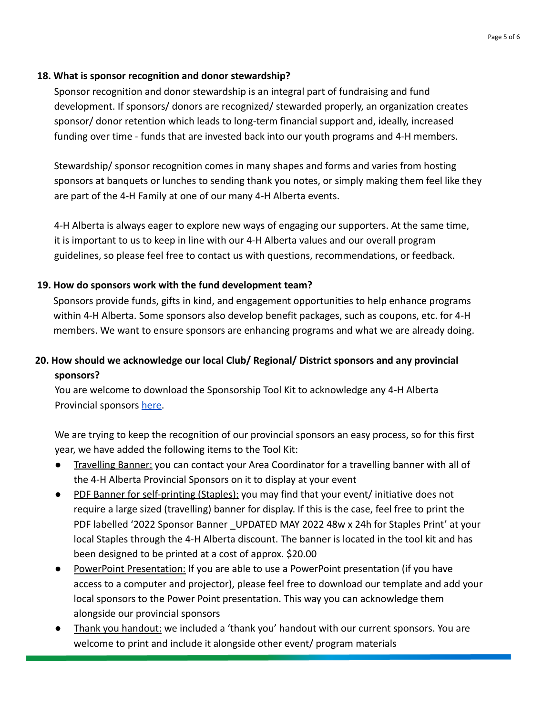# **18. What is sponsor recognition and donor stewardship?**

Sponsor recognition and donor stewardship is an integral part of fundraising and fund development. If sponsors/ donors are recognized/ stewarded properly, an organization creates sponsor/ donor retention which leads to long-term financial support and, ideally, increased funding over time - funds that are invested back into our youth programs and 4-H members.

Stewardship/ sponsor recognition comes in many shapes and forms and varies from hosting sponsors at banquets or lunches to sending thank you notes, or simply making them feel like they are part of the 4-H Family at one of our many 4-H Alberta events.

4-H Alberta is always eager to explore new ways of engaging our supporters. At the same time, it is important to us to keep in line with our 4-H Alberta values and our overall program guidelines, so please feel free to contact us with questions, recommendations, or feedback.

# **19. How do sponsors work with the fund development team?**

Sponsors provide funds, gifts in kind, and engagement opportunities to help enhance programs within 4-H Alberta. Some sponsors also develop benefit packages, such as coupons, etc. for 4-H members. We want to ensure sponsors are enhancing programs and what we are already doing.

# **20. How should we acknowledge our local Club/ Regional/ District sponsors and any provincial sponsors?**

You are welcome to download the Sponsorship Tool Kit to acknowledge any 4-H Alberta Provincial sponsors [here.](https://drive.google.com/drive/folders/1pw6ZAXT2mQ2S0gq0swkdjLYGaJIIIjKX)

We are trying to keep the recognition of our provincial sponsors an easy process, so for this first year, we have added the following items to the Tool Kit:

- **Travelling Banner:** you can contact your Area Coordinator for a travelling banner with all of the 4-H Alberta Provincial Sponsors on it to display at your event
- PDF Banner for self-printing (Staples): you may find that your event/ initiative does not require a large sized (travelling) banner for display. If this is the case, feel free to print the PDF labelled '2022 Sponsor Banner UPDATED MAY 2022 48w x 24h for Staples Print' at your local Staples through the 4-H Alberta discount. The banner is located in the tool kit and has been designed to be printed at a cost of approx. \$20.00
- PowerPoint Presentation: If you are able to use a PowerPoint presentation (if you have access to a computer and projector), please feel free to download our template and add your local sponsors to the Power Point presentation. This way you can acknowledge them alongside our provincial sponsors
- Thank you handout: we included a 'thank you' handout with our current sponsors. You are welcome to print and include it alongside other event/ program materials